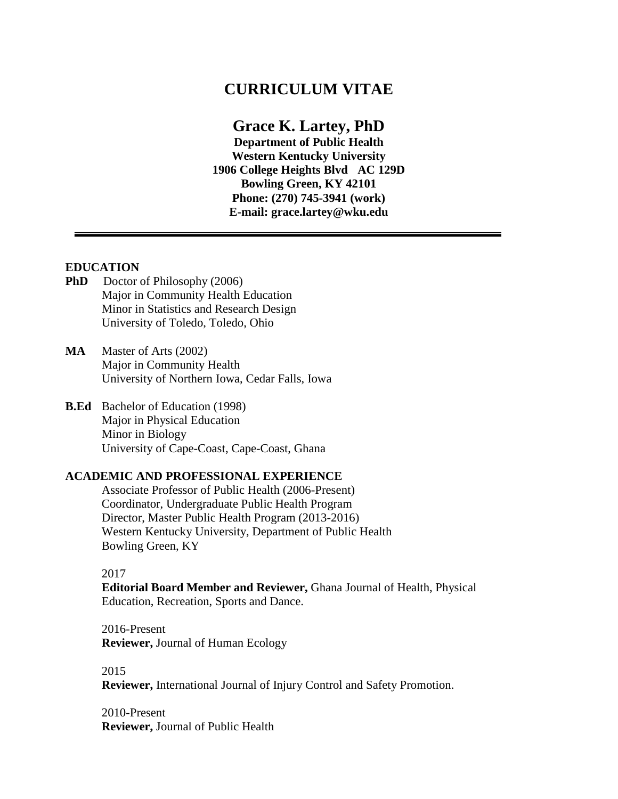# **CURRICULUM VITAE**

# **Grace K. Lartey, PhD**

**Department of Public Health Western Kentucky University 1906 College Heights Blvd AC 129D Bowling Green, KY 42101 Phone: (270) 745-3941 (work) E-mail: [grace.lartey@wku.edu](mailto:grace.lartey@wku.edu)**

# **EDUCATION**

- **PhD** Doctor of Philosophy (2006) Major in Community Health Education Minor in Statistics and Research Design University of Toledo, Toledo, Ohio
- **MA** Master of Arts (2002) Major in Community Health University of Northern Iowa, Cedar Falls, Iowa
- **B.Ed** Bachelor of Education (1998) Major in Physical Education Minor in Biology University of Cape-Coast, Cape-Coast, Ghana

#### **ACADEMIC AND PROFESSIONAL EXPERIENCE**

Associate Professor of Public Health (2006-Present) Coordinator, Undergraduate Public Health Program Director, Master Public Health Program (2013-2016) Western Kentucky University, Department of Public Health Bowling Green, KY

#### 2017

**Editorial Board Member and Reviewer,** Ghana Journal of Health, Physical Education, Recreation, Sports and Dance.

2016-Present **Reviewer,** Journal of Human Ecology

2015

**Reviewer,** International Journal of Injury Control and Safety Promotion.

2010-Present **Reviewer,** Journal of Public Health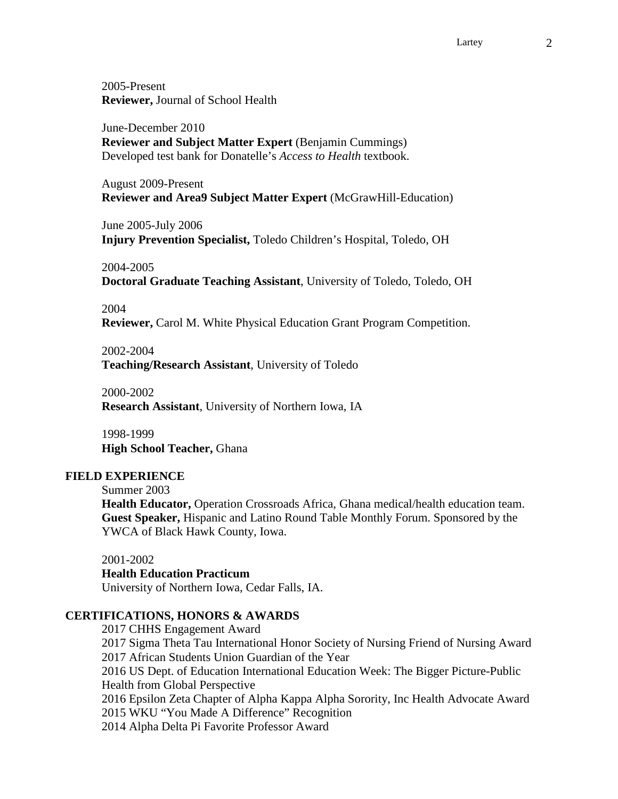Lartey 2

2005-Present **Reviewer,** Journal of School Health

June-December 2010 **Reviewer and Subject Matter Expert** (Benjamin Cummings) Developed test bank for Donatelle's *Access to Health* textbook.

August 2009-Present **Reviewer and Area9 Subject Matter Expert** (McGrawHill-Education)

June 2005-July 2006 **Injury Prevention Specialist,** Toledo Children's Hospital, Toledo, OH

2004-2005 **Doctoral Graduate Teaching Assistant**, University of Toledo, Toledo, OH

#### 2004

**Reviewer,** Carol M. White Physical Education Grant Program Competition.

#### 2002-2004

**Teaching/Research Assistant**, University of Toledo

2000-2002 **Research Assistant**, University of Northern Iowa, IA

1998-1999 **High School Teacher,** Ghana

#### **FIELD EXPERIENCE**

Summer 2003

**Health Educator,** Operation Crossroads Africa, Ghana medical/health education team. **Guest Speaker,** Hispanic and Latino Round Table Monthly Forum. Sponsored by the YWCA of Black Hawk County, Iowa.

2001-2002 **Health Education Practicum** University of Northern Iowa, Cedar Falls, IA.

# **CERTIFICATIONS, HONORS & AWARDS**

2017 CHHS Engagement Award 2017 Sigma Theta Tau International Honor Society of Nursing Friend of Nursing Award 2017 African Students Union Guardian of the Year 2016 US Dept. of Education International Education Week: The Bigger Picture-Public Health from Global Perspective 2016 Epsilon Zeta Chapter of Alpha Kappa Alpha Sorority, Inc Health Advocate Award 2015 WKU "You Made A Difference" Recognition 2014 Alpha Delta Pi Favorite Professor Award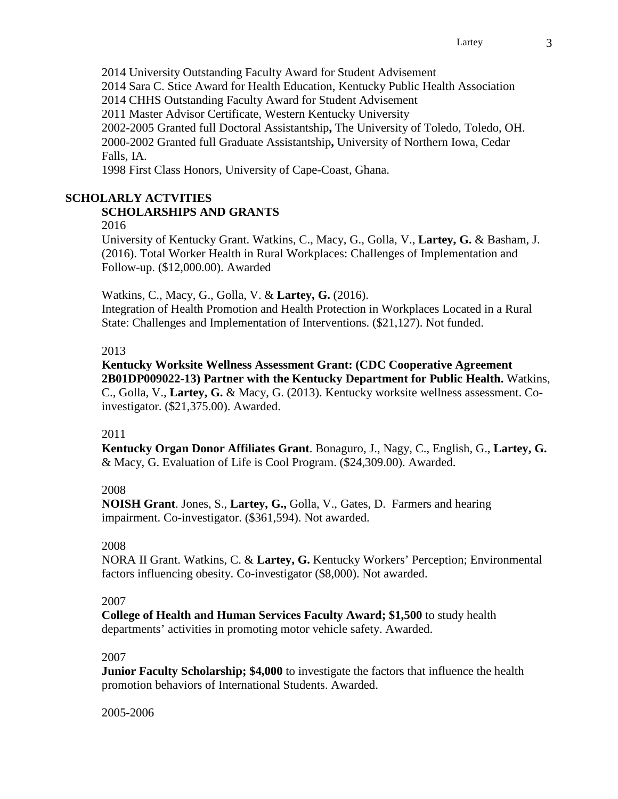2014 University Outstanding Faculty Award for Student Advisement 2014 Sara C. Stice Award for Health Education, Kentucky Public Health Association 2014 CHHS Outstanding Faculty Award for Student Advisement 2011 Master Advisor Certificate, Western Kentucky University 2002-2005 Granted full Doctoral Assistantship**,** The University of Toledo, Toledo, OH. 2000-2002 Granted full Graduate Assistantship**,** University of Northern Iowa, Cedar Falls, IA. 1998 First Class Honors, University of Cape-Coast, Ghana.

# **SCHOLARLY ACTVITIES**

# **SCHOLARSHIPS AND GRANTS**

2016

University of Kentucky Grant. Watkins, C., Macy, G., Golla, V., **Lartey, G.** & Basham, J. (2016). Total Worker Health in Rural Workplaces: Challenges of Implementation and Follow-up. (\$12,000.00). Awarded

Watkins, C., Macy, G., Golla, V. & **Lartey, G.** (2016).

Integration of Health Promotion and Health Protection in Workplaces Located in a Rural State: Challenges and Implementation of Interventions. (\$21,127). Not funded.

## 2013

**Kentucky Worksite Wellness Assessment Grant: (CDC Cooperative Agreement 2B01DP009022-13) Partner with the Kentucky Department for Public Health.** Watkins, C., Golla, V., **Lartey, G.** & Macy, G. (2013). Kentucky worksite wellness assessment. Coinvestigator. (\$21,375.00). Awarded.

# 2011

**Kentucky Organ Donor Affiliates Grant**. Bonaguro, J., Nagy, C., English, G., **Lartey, G.** & Macy, G. Evaluation of Life is Cool Program. (\$24,309.00). Awarded.

# 2008

**NOISH Grant**. Jones, S., **Lartey, G.,** Golla, V., Gates, D. Farmers and hearing impairment. Co-investigator. (\$361,594). Not awarded.

# 2008

NORA II Grant. Watkins, C. & **Lartey, G.** Kentucky Workers' Perception; Environmental factors influencing obesity. Co-investigator (\$8,000). Not awarded.

# 2007

**College of Health and Human Services Faculty Award; \$1,500** to study health departments' activities in promoting motor vehicle safety. Awarded.

# 2007

**Junior Faculty Scholarship; \$4,000** to investigate the factors that influence the health promotion behaviors of International Students. Awarded.

2005-2006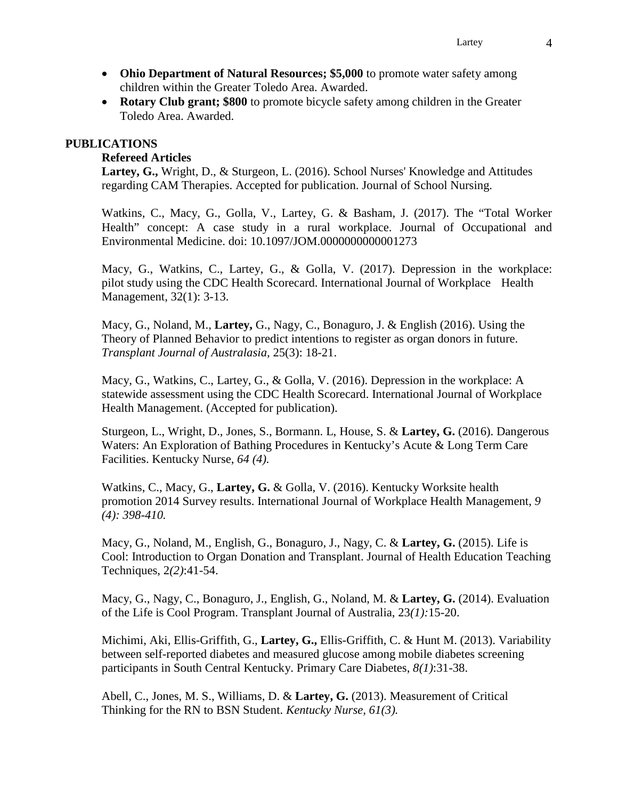- **Ohio Department of Natural Resources; \$5,000** to promote water safety among children within the Greater Toledo Area. Awarded.
- **Rotary Club grant; \$800** to promote bicycle safety among children in the Greater Toledo Area. Awarded.

### **PUBLICATIONS**

## **Refereed Articles**

**Lartey, G.,** Wright, D., & Sturgeon, L. (2016). School Nurses' Knowledge and Attitudes regarding CAM Therapies. Accepted for publication. Journal of School Nursing.

Watkins, C., Macy, G., Golla, V., Lartey, G. & Basham, J. (2017). The "Total Worker Health" concept: A case study in a rural workplace. Journal of Occupational and Environmental Medicine. doi: 10.1097/JOM.0000000000001273

Macy, G., Watkins, C., Lartey, G., & Golla, V. (2017). Depression in the workplace: pilot study using the CDC Health Scorecard. International Journal of Workplace Health Management, 32(1): 3-13.

Macy, G., Noland, M., **Lartey,** G., Nagy, C., Bonaguro, J. & English (2016). Using the Theory of Planned Behavior to predict intentions to register as organ donors in future. *Transplant Journal of Australasia,* 25(3): 18-21.

Macy, G., Watkins, C., Lartey, G., & Golla, V. (2016). Depression in the workplace: A statewide assessment using the CDC Health Scorecard. International Journal of Workplace Health Management. (Accepted for publication).

Sturgeon, L., Wright, D., Jones, S., Bormann. L, House, S. & **Lartey, G.** (2016). Dangerous Waters: An Exploration of Bathing Procedures in Kentucky's Acute & Long Term Care Facilities. Kentucky Nurse, *64 (4).*

Watkins, C., Macy, G., **Lartey, G.** & Golla, V. (2016). Kentucky Worksite health promotion 2014 Survey results. International Journal of Workplace Health Management, *9 (4): 398-410.*

Macy, G., Noland, M., English, G., Bonaguro, J., Nagy, C. & **Lartey, G.** (2015). Life is Cool: Introduction to Organ Donation and Transplant. Journal of Health Education Teaching Techniques, 2*(2)*:41-54.

Macy, G., Nagy, C., Bonaguro, J., English, G., Noland, M. & **Lartey, G.** (2014). Evaluation of the Life is Cool Program. Transplant Journal of Australia, 23*(1):*15-20.

Michimi, Aki, Ellis-Griffith, G., **Lartey, G.,** Ellis-Griffith, C. & Hunt M. (2013). Variability between self-reported diabetes and measured glucose among mobile diabetes screening participants in South Central Kentucky. Primary Care Diabetes, *8(1)*:31-38.

Abell, C., Jones, M. S., Williams, D. & **Lartey, G.** (2013). Measurement of Critical Thinking for the RN to BSN Student. *Kentucky Nurse, 61(3).*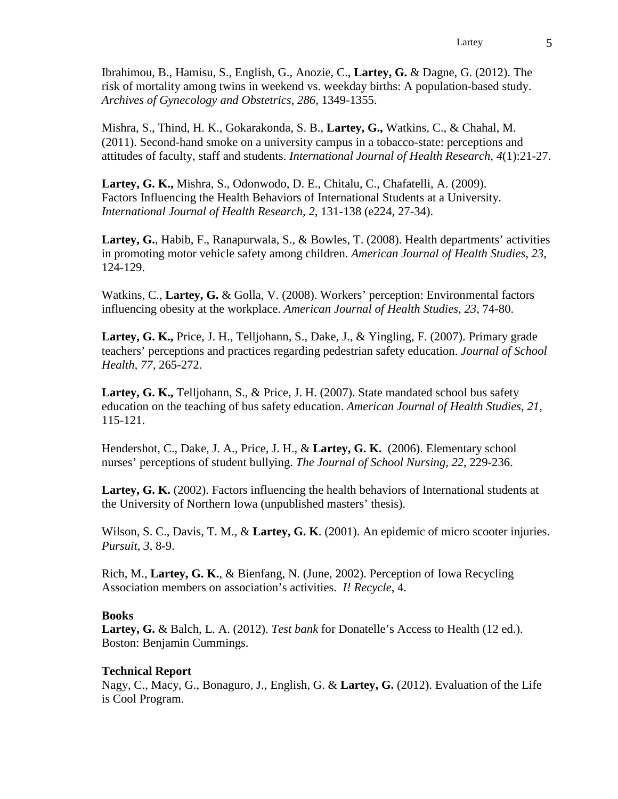Ibrahimou, B., Hamisu, S., English, G., Anozie, C., **Lartey, G.** & Dagne, G. (2012). The risk of mortality among twins in weekend vs. weekday births: A population-based study. *Archives of Gynecology and Obstetrics, 286*, 1349-1355.

Mishra, S., Thind, H. K., Gokarakonda, S. B., **Lartey, G.,** Watkins, C., & Chahal, M. (2011). Second-hand smoke on a university campus in a tobacco-state: perceptions and attitudes of faculty, staff and students. *International Journal of Health Research*, *4*(1):21-27.

**Lartey, G. K.,** Mishra, S., Odonwodo, D. E., Chitalu, C., Chafatelli, A. (2009). Factors Influencing the Health Behaviors of International Students at a University. *International Journal of Health Research, 2*, 131-138 (e224, 27-34).

**Lartey, G.**, Habib, F., Ranapurwala, S., & Bowles, T. (2008). Health departments' activities in promoting motor vehicle safety among children. *American Journal of Health Studies*, *23,* 124-129.

Watkins, C., **Lartey, G.** & Golla, V. (2008). Workers' perception: Environmental factors influencing obesity at the workplace. *American Journal of Health Studies, 23,* 74-80.

**Lartey, G. K.,** Price, J. H., Telljohann, S., Dake, J., & Yingling, F. (2007). Primary grade teachers' perceptions and practices regarding pedestrian safety education. *Journal of School Health, 77,* 265-272.

**Lartey, G. K., Telljohann, S., & Price, J. H. (2007). State mandated school bus safety** education on the teaching of bus safety education. *American Journal of Health Studies, 21,* 115-121.

Hendershot, C., Dake, J. A., Price, J. H., & **Lartey, G. K.** (2006). Elementary school nurses' perceptions of student bullying. *The Journal of School Nursing, 22*, 229-236.

**Lartey, G. K.** (2002). Factors influencing the health behaviors of International students at the University of Northern Iowa (unpublished masters' thesis).

Wilson, S. C., Davis, T. M., & **Lartey, G. K**. (2001). An epidemic of micro scooter injuries. *Pursuit, 3,* 8-9.

Rich, M., **Lartey, G. K.**, & Bienfang, N. (June, 2002). Perception of Iowa Recycling Association members on association's activities. *I! Recycle,* 4.

#### **Books**

**Lartey, G.** & Balch, L. A. (2012). *Test bank* for Donatelle's Access to Health (12 ed.). Boston: Benjamin Cummings.

# **Technical Report**

Nagy, C., Macy, G., Bonaguro, J., English, G. & **Lartey, G.** (2012). Evaluation of the Life is Cool Program.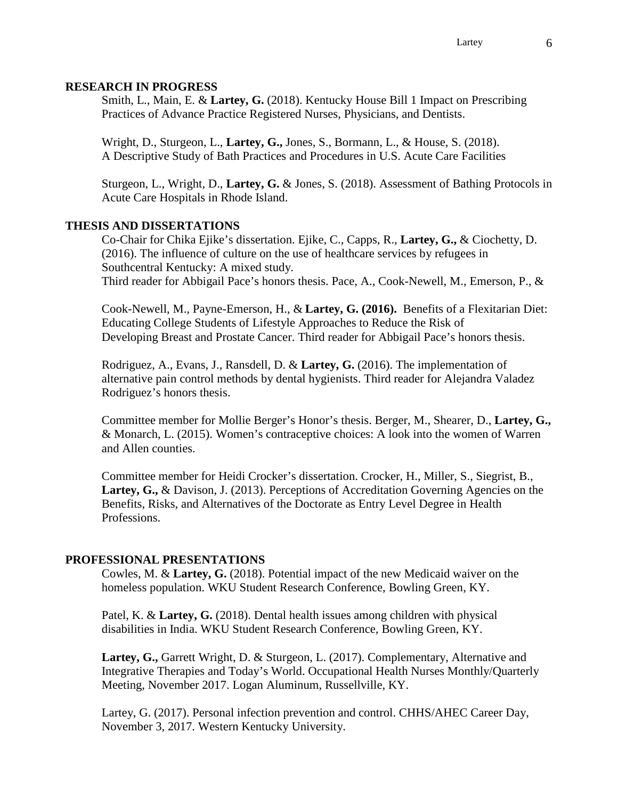#### **RESEARCH IN PROGRESS**

Smith, L., Main, E. & **Lartey, G.** (2018). Kentucky House Bill 1 Impact on Prescribing Practices of Advance Practice Registered Nurses, Physicians, and Dentists.

Wright, D., Sturgeon, L., **Lartey, G.,** Jones, S., Bormann, L., & House, S. (2018). A Descriptive Study of Bath Practices and Procedures in U.S. Acute Care Facilities

Sturgeon, L., Wright, D., **Lartey, G.** & Jones, S. (2018). Assessment of Bathing Protocols in Acute Care Hospitals in Rhode Island.

#### **THESIS AND DISSERTATIONS**

Co-Chair for Chika Ejike's dissertation. Ejike, C., Capps, R., **Lartey, G.,** & Ciochetty, D. (2016). The influence of culture on the use of healthcare services by refugees in Southcentral Kentucky: A mixed study. Third reader for Abbigail Pace's honors thesis. Pace, A., Cook-Newell, M., Emerson, P., &

Cook-Newell, M., Payne-Emerson, H., & **Lartey, G. (2016).** Benefits of a Flexitarian Diet: Educating College Students of Lifestyle Approaches to Reduce the Risk of Developing Breast and Prostate Cancer. Third reader for Abbigail Pace's honors thesis.

Rodriguez, A., Evans, J., Ransdell, D. & **Lartey, G.** (2016). The implementation of alternative pain control methods by dental hygienists. Third reader for Alejandra Valadez Rodriguez's honors thesis.

Committee member for Mollie Berger's Honor's thesis. Berger, M., Shearer, D., **Lartey, G.,** & Monarch, L. (2015). Women's contraceptive choices: A look into the women of Warren and Allen counties.

Committee member for Heidi Crocker's dissertation. Crocker, H., Miller, S., Siegrist, B., Lartey, G., & Davison, J. (2013). Perceptions of Accreditation Governing Agencies on the Benefits, Risks, and Alternatives of the Doctorate as Entry Level Degree in Health Professions.

#### **PROFESSIONAL PRESENTATIONS**

Cowles, M. & **Lartey, G.** (2018). Potential impact of the new Medicaid waiver on the homeless population. WKU Student Research Conference, Bowling Green, KY.

Patel, K. & **Lartey, G.** (2018). Dental health issues among children with physical disabilities in India. WKU Student Research Conference, Bowling Green, KY.

**Lartey, G.,** Garrett Wright, D. & Sturgeon, L. (2017). Complementary, Alternative and Integrative Therapies and Today's World. Occupational Health Nurses Monthly/Quarterly Meeting, November 2017. Logan Aluminum, Russellville, KY.

Lartey, G. (2017). Personal infection prevention and control. CHHS/AHEC Career Day, November 3, 2017. Western Kentucky University.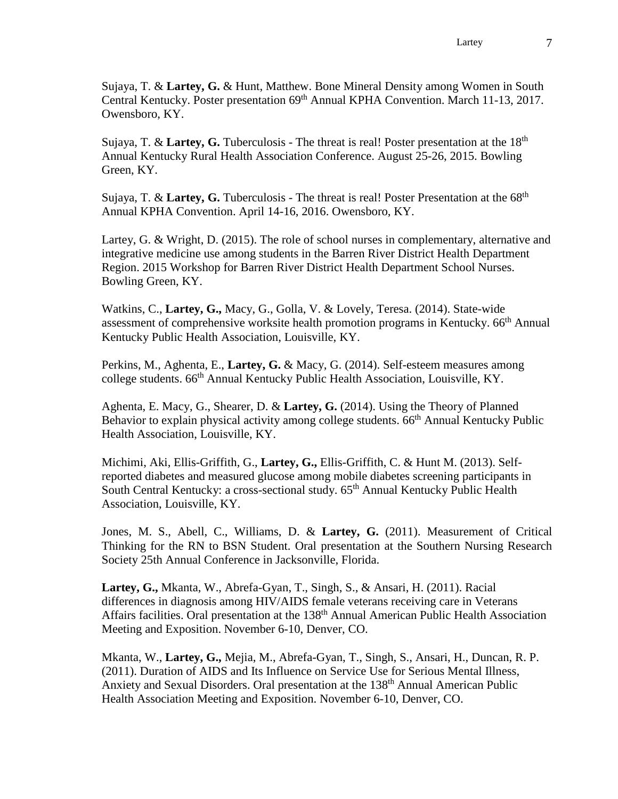Sujaya, T. & **Lartey, G.** & Hunt, Matthew. Bone Mineral Density among Women in South Central Kentucky. Poster presentation 69<sup>th</sup> Annual KPHA Convention. March 11-13, 2017. Owensboro, KY.

Sujaya, T. & Lartey, G. Tuberculosis - The threat is real! Poster presentation at the 18<sup>th</sup> Annual Kentucky Rural Health Association Conference. August 25-26, 2015. Bowling Green, KY.

Sujaya, T. & Lartey, G. Tuberculosis - The threat is real! Poster Presentation at the 68<sup>th</sup> Annual KPHA Convention. April 14-16, 2016. Owensboro, KY.

Lartey, G. & Wright, D. (2015). The role of school nurses in complementary, alternative and integrative medicine use among students in the Barren River District Health Department Region. 2015 Workshop for Barren River District Health Department School Nurses. Bowling Green, KY.

Watkins, C., **Lartey, G.,** Macy, G., Golla, V. & Lovely, Teresa. (2014). State-wide assessment of comprehensive worksite health promotion programs in Kentucky. 66th Annual Kentucky Public Health Association, Louisville, KY.

Perkins, M., Aghenta, E., **Lartey, G.** & Macy, G. (2014). Self-esteem measures among college students. 66<sup>th</sup> Annual Kentucky Public Health Association, Louisville, KY.

Aghenta, E. Macy, G., Shearer, D. & **Lartey, G.** (2014). Using the Theory of Planned Behavior to explain physical activity among college students. 66<sup>th</sup> Annual Kentucky Public Health Association, Louisville, KY.

Michimi, Aki, Ellis-Griffith, G., **Lartey, G.,** Ellis-Griffith, C. & Hunt M. (2013). Selfreported diabetes and measured glucose among mobile diabetes screening participants in South Central Kentucky: a cross-sectional study. 65<sup>th</sup> Annual Kentucky Public Health Association, Louisville, KY.

Jones, M. S., Abell, C., Williams, D. & **Lartey, G.** (2011). Measurement of Critical Thinking for the RN to BSN Student. Oral presentation at the Southern Nursing Research Society 25th Annual Conference in Jacksonville, Florida.

**Lartey, G.,** Mkanta, W., Abrefa-Gyan, T., Singh, S., & Ansari, H. (2011). Racial differences in diagnosis among HIV/AIDS female veterans receiving care in Veterans Affairs facilities. Oral presentation at the 138<sup>th</sup> Annual American Public Health Association Meeting and Exposition. November 6-10, Denver, CO.

Mkanta, W., **Lartey, G.,** Mejia, M., Abrefa-Gyan, T., Singh, S., Ansari, H., Duncan, R. P. (2011). Duration of AIDS and Its Influence on Service Use for Serious Mental Illness, Anxiety and Sexual Disorders. Oral presentation at the 138<sup>th</sup> Annual American Public Health Association Meeting and Exposition. November 6-10, Denver, CO.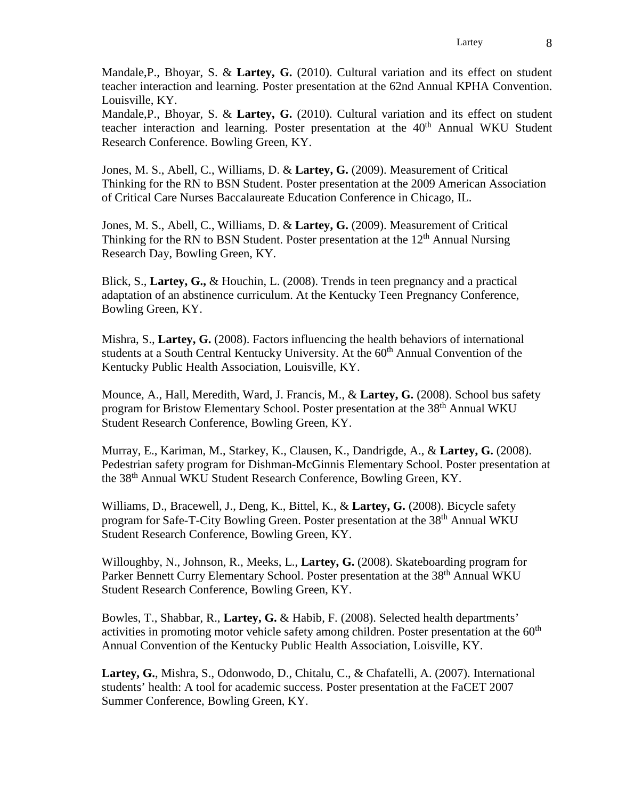Mandale,P., Bhoyar, S. & **Lartey, G.** (2010). Cultural variation and its effect on student teacher interaction and learning. Poster presentation at the 62nd Annual KPHA Convention. Louisville, KY.

Mandale,P., Bhoyar, S. & **Lartey, G.** (2010). Cultural variation and its effect on student teacher interaction and learning. Poster presentation at the 40<sup>th</sup> Annual WKU Student Research Conference. Bowling Green, KY.

Jones, M. S., Abell, C., Williams, D. & **Lartey, G.** (2009). Measurement of Critical Thinking for the RN to BSN Student. Poster presentation at the 2009 American Association of Critical Care Nurses Baccalaureate Education Conference in Chicago, IL.

Jones, M. S., Abell, C., Williams, D. & **Lartey, G.** (2009). Measurement of Critical Thinking for the RN to BSN Student. Poster presentation at the  $12<sup>th</sup>$  Annual Nursing Research Day, Bowling Green, KY.

Blick, S., **Lartey, G.,** & Houchin, L. (2008). Trends in teen pregnancy and a practical adaptation of an abstinence curriculum. At the Kentucky Teen Pregnancy Conference, Bowling Green, KY.

Mishra, S., **Lartey, G.** (2008). Factors influencing the health behaviors of international students at a South Central Kentucky University. At the 60<sup>th</sup> Annual Convention of the Kentucky Public Health Association, Louisville, KY.

Mounce, A., Hall, Meredith, Ward, J. Francis, M., & **Lartey, G.** (2008). School bus safety program for Bristow Elementary School. Poster presentation at the 38<sup>th</sup> Annual WKU Student Research Conference, Bowling Green, KY.

Murray, E., Kariman, M., Starkey, K., Clausen, K., Dandrigde, A., & **Lartey, G.** (2008). Pedestrian safety program for Dishman-McGinnis Elementary School. Poster presentation at the 38th Annual WKU Student Research Conference, Bowling Green, KY.

Williams, D., Bracewell, J., Deng, K., Bittel, K., & **Lartey, G.** (2008). Bicycle safety program for Safe-T-City Bowling Green. Poster presentation at the 38<sup>th</sup> Annual WKU Student Research Conference, Bowling Green, KY.

Willoughby, N., Johnson, R., Meeks, L., **Lartey, G.** (2008). Skateboarding program for Parker Bennett Curry Elementary School. Poster presentation at the 38<sup>th</sup> Annual WKU Student Research Conference, Bowling Green, KY.

Bowles, T., Shabbar, R., **Lartey, G.** & Habib, F. (2008). Selected health departments' activities in promoting motor vehicle safety among children. Poster presentation at the 60<sup>th</sup> Annual Convention of the Kentucky Public Health Association, Loisville, KY.

**Lartey, G.**, Mishra, S., Odonwodo, D., Chitalu, C., & Chafatelli, A. (2007). International students' health: A tool for academic success. Poster presentation at the FaCET 2007 Summer Conference, Bowling Green, KY.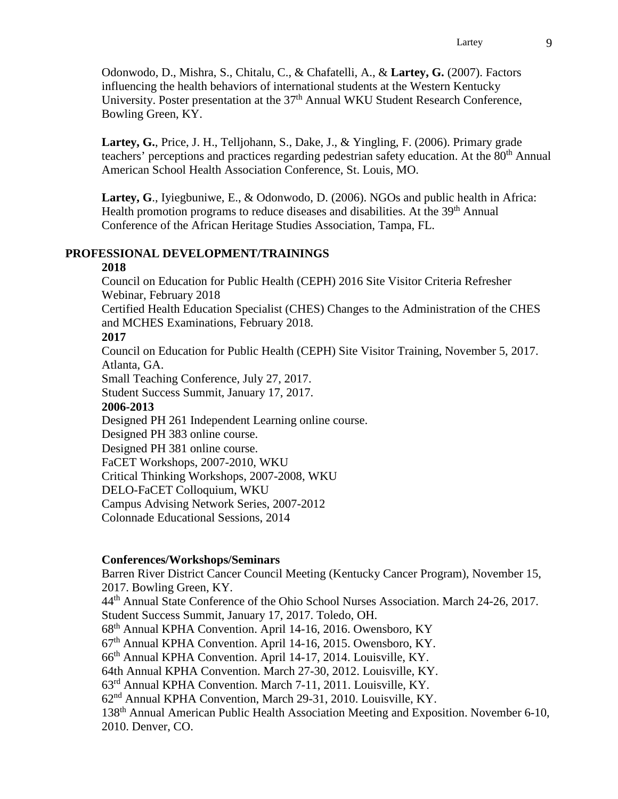Odonwodo, D., Mishra, S., Chitalu, C., & Chafatelli, A., & **Lartey, G.** (2007). Factors influencing the health behaviors of international students at the Western Kentucky University. Poster presentation at the 37<sup>th</sup> Annual WKU Student Research Conference, Bowling Green, KY.

**Lartey, G.**, Price, J. H., Telljohann, S., Dake, J., & Yingling, F. (2006). Primary grade teachers' perceptions and practices regarding pedestrian safety education. At the 80<sup>th</sup> Annual American School Health Association Conference, St. Louis, MO.

**Lartey, G**., Iyiegbuniwe, E., & Odonwodo, D. (2006). NGOs and public health in Africa: Health promotion programs to reduce diseases and disabilities. At the 39<sup>th</sup> Annual Conference of the African Heritage Studies Association, Tampa, FL.

# **PROFESSIONAL DEVELOPMENT/TRAININGS**

### **2018**

Council on Education for Public Health (CEPH) 2016 Site Visitor Criteria Refresher Webinar, February 2018

Certified Health Education Specialist (CHES) Changes to the Administration of the CHES and MCHES Examinations, February 2018.

#### **2017**

Council on Education for Public Health (CEPH) Site Visitor Training, November 5, 2017. Atlanta, GA.

Small Teaching Conference, July 27, 2017.

Student Success Summit, January 17, 2017.

#### **2006-2013**

Designed PH 261 Independent Learning online course.

Designed PH 383 online course.

Designed PH 381 online course. FaCET Workshops, 2007-2010, WKU Critical Thinking Workshops, 2007-2008, WKU DELO-FaCET Colloquium, WKU Campus Advising Network Series, 2007-2012 Colonnade Educational Sessions, 2014

#### **Conferences/Workshops/Seminars**

Barren River District Cancer Council Meeting (Kentucky Cancer Program), November 15, 2017. Bowling Green, KY.

44th Annual State Conference of the Ohio School Nurses Association. March 24-26, 2017. Student Success Summit, January 17, 2017. Toledo, OH. 68th Annual KPHA Convention. April 14-16, 2016. Owensboro, KY

67th Annual KPHA Convention. April 14-16, 2015. Owensboro, KY.

66th Annual KPHA Convention. April 14-17, 2014. Louisville, KY.

64th Annual KPHA Convention. March 27-30, 2012. Louisville, KY.

63rd Annual KPHA Convention. March 7-11, 2011. Louisville, KY.

62nd Annual KPHA Convention, March 29-31, 2010. Louisville, KY.

138th Annual American Public Health Association Meeting and Exposition. November 6-10, 2010. Denver, CO.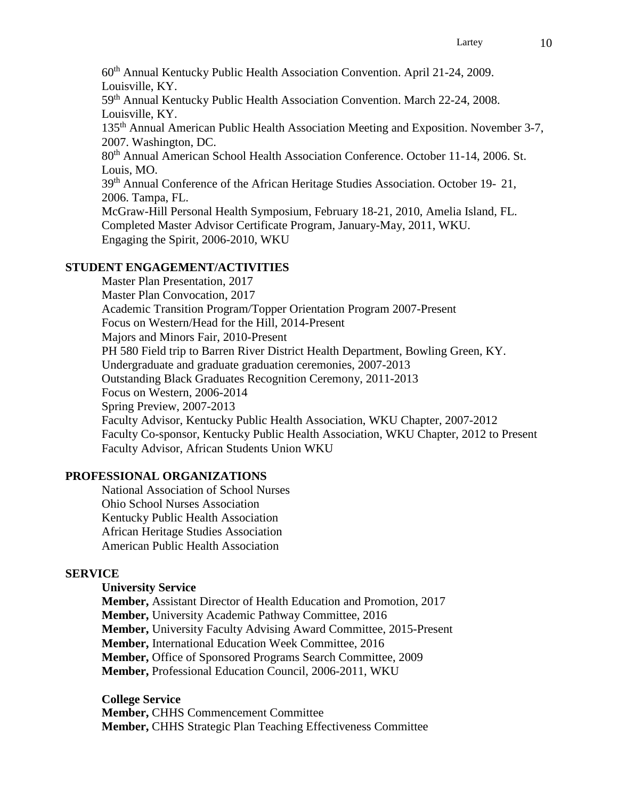60th Annual Kentucky Public Health Association Convention. April 21-24, 2009. Louisville, KY.

59th Annual Kentucky Public Health Association Convention. March 22-24, 2008. Louisville, KY.

135th Annual American Public Health Association Meeting and Exposition. November 3-7, 2007. Washington, DC.

80<sup>th</sup> Annual American School Health Association Conference. October 11-14, 2006. St. Louis, MO.

39th Annual Conference of the African Heritage Studies Association. October 19- 21, 2006. Tampa, FL.

McGraw-Hill Personal Health Symposium, February 18-21, 2010, Amelia Island, FL. Completed Master Advisor Certificate Program, January-May, 2011, WKU. Engaging the Spirit, 2006-2010, WKU

## **STUDENT ENGAGEMENT/ACTIVITIES**

Master Plan Presentation, 2017 Master Plan Convocation, 2017 Academic Transition Program/Topper Orientation Program 2007-Present Focus on Western/Head for the Hill, 2014-Present Majors and Minors Fair, 2010-Present PH 580 Field trip to Barren River District Health Department, Bowling Green, KY. Undergraduate and graduate graduation ceremonies, 2007-2013 Outstanding Black Graduates Recognition Ceremony, 2011-2013 Focus on Western, 2006-2014 Spring Preview, 2007-2013 Faculty Advisor, Kentucky Public Health Association, WKU Chapter, 2007-2012 Faculty Co-sponsor, Kentucky Public Health Association, WKU Chapter, 2012 to Present Faculty Advisor, African Students Union WKU

#### **PROFESSIONAL ORGANIZATIONS**

National Association of School Nurses Ohio School Nurses Association Kentucky Public Health Association African Heritage Studies Association American Public Health Association

#### **SERVICE**

### **University Service**

**Member,** Assistant Director of Health Education and Promotion, 2017 **Member,** University Academic Pathway Committee, 2016 **Member,** University Faculty Advising Award Committee, 2015-Present **Member,** International Education Week Committee, 2016 **Member,** Office of Sponsored Programs Search Committee, 2009 **Member,** Professional Education Council, 2006-2011, WKU

**College Service Member,** CHHS Commencement Committee **Member,** CHHS Strategic Plan Teaching Effectiveness Committee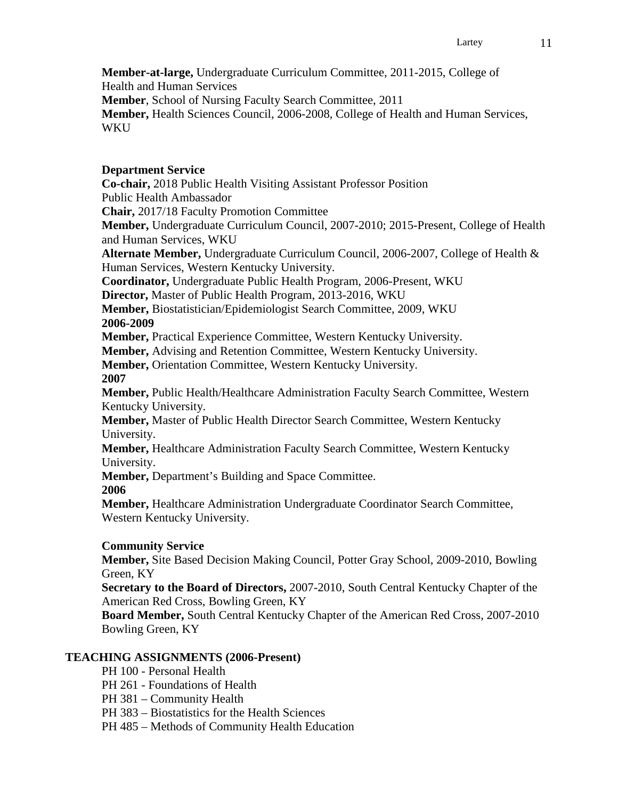**Member-at-large,** Undergraduate Curriculum Committee, 2011-2015, College of Health and Human Services **Member**, School of Nursing Faculty Search Committee, 2011 **Member,** Health Sciences Council, 2006-2008, College of Health and Human Services, WKU

# **Department Service**

**Co-chair,** 2018 Public Health Visiting Assistant Professor Position Public Health Ambassador **Chair,** 2017/18 Faculty Promotion Committee **Member,** Undergraduate Curriculum Council, 2007-2010; 2015-Present, College of Health and Human Services, WKU **Alternate Member,** Undergraduate Curriculum Council, 2006-2007, College of Health & Human Services, Western Kentucky University. **Coordinator,** Undergraduate Public Health Program, 2006-Present, WKU **Director,** Master of Public Health Program, 2013-2016, WKU **Member,** Biostatistician/Epidemiologist Search Committee, 2009, WKU **2006-2009 Member,** Practical Experience Committee, Western Kentucky University. **Member,** Advising and Retention Committee, Western Kentucky University. **Member,** Orientation Committee, Western Kentucky University. **2007 Member,** Public Health/Healthcare Administration Faculty Search Committee, Western Kentucky University. **Member,** Master of Public Health Director Search Committee, Western Kentucky University. **Member,** Healthcare Administration Faculty Search Committee, Western Kentucky University. **Member,** Department's Building and Space Committee. **2006 Member,** Healthcare Administration Undergraduate Coordinator Search Committee, Western Kentucky University.

# **Community Service**

**Member,** Site Based Decision Making Council, Potter Gray School, 2009-2010, Bowling Green, KY

**Secretary to the Board of Directors,** 2007-2010, South Central Kentucky Chapter of the American Red Cross, Bowling Green, KY

**Board Member,** South Central Kentucky Chapter of the American Red Cross, 2007-2010 Bowling Green, KY

# **TEACHING ASSIGNMENTS (2006-Present)**

- PH 100 Personal Health
- PH 261 Foundations of Health
- PH 381 Community Health
- PH 383 Biostatistics for the Health Sciences
- PH 485 Methods of Community Health Education